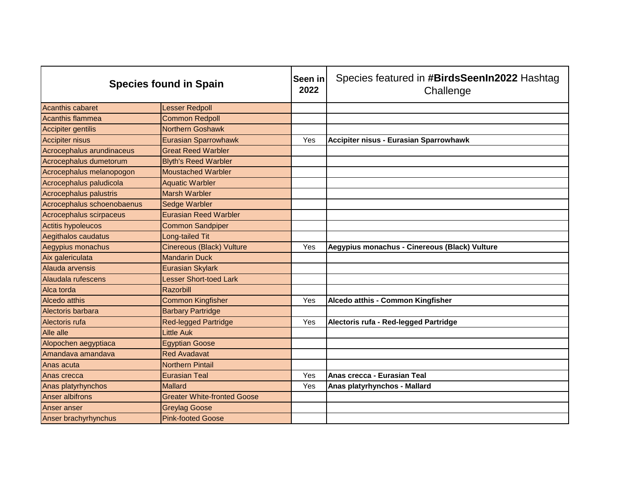| <b>Species found in Spain</b> |                                    | Seen in<br>2022 | Species featured in #BirdsSeenIn2022 Hashtag<br>Challenge |
|-------------------------------|------------------------------------|-----------------|-----------------------------------------------------------|
| <b>Acanthis cabaret</b>       | <b>Lesser Redpoll</b>              |                 |                                                           |
| Acanthis flammea              | <b>Common Redpoll</b>              |                 |                                                           |
| Accipiter gentilis            | <b>Northern Goshawk</b>            |                 |                                                           |
| <b>Accipiter nisus</b>        | Eurasian Sparrowhawk               | Yes             | Accipiter nisus - Eurasian Sparrowhawk                    |
| Acrocephalus arundinaceus     | <b>Great Reed Warbler</b>          |                 |                                                           |
| Acrocephalus dumetorum        | <b>Blyth's Reed Warbler</b>        |                 |                                                           |
| Acrocephalus melanopogon      | <b>Moustached Warbler</b>          |                 |                                                           |
| Acrocephalus paludicola       | <b>Aquatic Warbler</b>             |                 |                                                           |
| Acrocephalus palustris        | <b>Marsh Warbler</b>               |                 |                                                           |
| Acrocephalus schoenobaenus    | <b>Sedge Warbler</b>               |                 |                                                           |
| Acrocephalus scirpaceus       | <b>Eurasian Reed Warbler</b>       |                 |                                                           |
| <b>Actitis hypoleucos</b>     | <b>Common Sandpiper</b>            |                 |                                                           |
| Aegithalos caudatus           | Long-tailed Tit                    |                 |                                                           |
| Aegypius monachus             | Cinereous (Black) Vulture          | Yes             | Aegypius monachus - Cinereous (Black) Vulture             |
| Aix galericulata              | <b>Mandarin Duck</b>               |                 |                                                           |
| Alauda arvensis               | <b>Eurasian Skylark</b>            |                 |                                                           |
| Alaudala rufescens            | <b>Lesser Short-toed Lark</b>      |                 |                                                           |
| Alca torda                    | Razorbill                          |                 |                                                           |
| Alcedo atthis                 | <b>Common Kingfisher</b>           | Yes             | Alcedo atthis - Common Kingfisher                         |
| Alectoris barbara             | <b>Barbary Partridge</b>           |                 |                                                           |
| Alectoris rufa                | <b>Red-legged Partridge</b>        | Yes             | Alectoris rufa - Red-legged Partridge                     |
| Alle alle                     | <b>Little Auk</b>                  |                 |                                                           |
| Alopochen aegyptiaca          | <b>Egyptian Goose</b>              |                 |                                                           |
| Amandava amandava             | <b>Red Avadavat</b>                |                 |                                                           |
| Anas acuta                    | <b>Northern Pintail</b>            |                 |                                                           |
| Anas crecca                   | <b>Eurasian Teal</b>               | Yes             | Anas crecca - Eurasian Teal                               |
| Anas platyrhynchos            | Mallard                            | Yes             | Anas platyrhynchos - Mallard                              |
| <b>Anser albifrons</b>        | <b>Greater White-fronted Goose</b> |                 |                                                           |
| Anser anser                   | <b>Greylag Goose</b>               |                 |                                                           |
| Anser brachyrhynchus          | <b>Pink-footed Goose</b>           |                 |                                                           |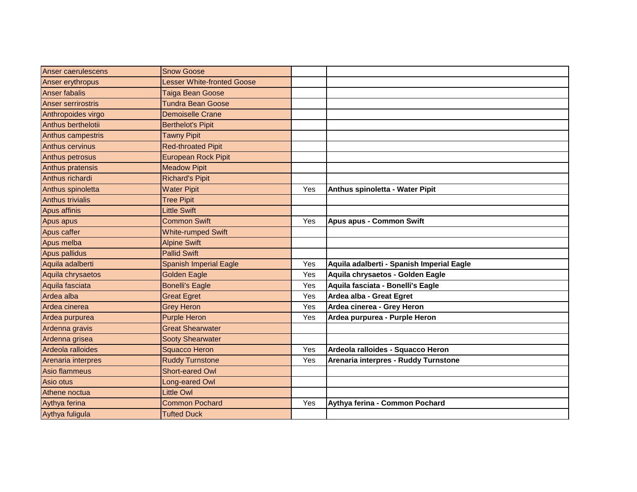| Anser caerulescens        | <b>Snow Goose</b>                 |     |                                           |
|---------------------------|-----------------------------------|-----|-------------------------------------------|
| Anser erythropus          | <b>Lesser White-fronted Goose</b> |     |                                           |
| <b>Anser fabalis</b>      | Taiga Bean Goose                  |     |                                           |
| <b>Anser serrirostris</b> | <b>Tundra Bean Goose</b>          |     |                                           |
| Anthropoides virgo        | <b>Demoiselle Crane</b>           |     |                                           |
| Anthus berthelotii        | <b>Berthelot's Pipit</b>          |     |                                           |
| Anthus campestris         | <b>Tawny Pipit</b>                |     |                                           |
| Anthus cervinus           | <b>Red-throated Pipit</b>         |     |                                           |
| Anthus petrosus           | <b>European Rock Pipit</b>        |     |                                           |
| Anthus pratensis          | <b>Meadow Pipit</b>               |     |                                           |
| Anthus richardi           | <b>Richard's Pipit</b>            |     |                                           |
| Anthus spinoletta         | <b>Water Pipit</b>                | Yes | Anthus spinoletta - Water Pipit           |
| <b>Anthus trivialis</b>   | <b>Tree Pipit</b>                 |     |                                           |
| <b>Apus affinis</b>       | <b>Little Swift</b>               |     |                                           |
| Apus apus                 | <b>Common Swift</b>               | Yes | <b>Apus apus - Common Swift</b>           |
| Apus caffer               | <b>White-rumped Swift</b>         |     |                                           |
| Apus melba                | <b>Alpine Swift</b>               |     |                                           |
| Apus pallidus             | <b>Pallid Swift</b>               |     |                                           |
| Aquila adalberti          | <b>Spanish Imperial Eagle</b>     | Yes | Aquila adalberti - Spanish Imperial Eagle |
| Aquila chrysaetos         | <b>Golden Eagle</b>               | Yes | Aquila chrysaetos - Golden Eagle          |
| Aquila fasciata           | <b>Bonelli's Eagle</b>            | Yes | Aquila fasciata - Bonelli's Eagle         |
| Ardea alba                | <b>Great Egret</b>                | Yes | Ardea alba - Great Egret                  |
| Ardea cinerea             | <b>Grey Heron</b>                 | Yes | Ardea cinerea - Grey Heron                |
| Ardea purpurea            | <b>Purple Heron</b>               | Yes | Ardea purpurea - Purple Heron             |
| Ardenna gravis            | <b>Great Shearwater</b>           |     |                                           |
| Ardenna grisea            | <b>Sooty Shearwater</b>           |     |                                           |
| Ardeola ralloides         | <b>Squacco Heron</b>              | Yes | Ardeola ralloides - Squacco Heron         |
| Arenaria interpres        | <b>Ruddy Turnstone</b>            | Yes | Arenaria interpres - Ruddy Turnstone      |
| Asio flammeus             | Short-eared Owl                   |     |                                           |
| Asio otus                 | Long-eared Owl                    |     |                                           |
| Athene noctua             | <b>Little Owl</b>                 |     |                                           |
| Aythya ferina             | <b>Common Pochard</b>             | Yes | Aythya ferina - Common Pochard            |
| Aythya fuligula           | <b>Tufted Duck</b>                |     |                                           |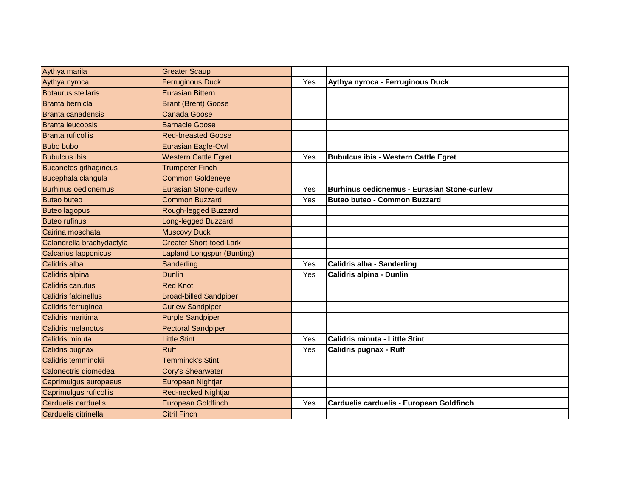| Aythya marila                | <b>Greater Scaup</b>              |     |                                                    |
|------------------------------|-----------------------------------|-----|----------------------------------------------------|
| Aythya nyroca                | <b>Ferruginous Duck</b>           | Yes | Aythya nyroca - Ferruginous Duck                   |
| <b>Botaurus stellaris</b>    | Eurasian Bittern                  |     |                                                    |
| <b>Branta bernicla</b>       | <b>Brant (Brent) Goose</b>        |     |                                                    |
| <b>Branta canadensis</b>     | <b>Canada Goose</b>               |     |                                                    |
| <b>Branta leucopsis</b>      | <b>Barnacle Goose</b>             |     |                                                    |
| <b>Branta ruficollis</b>     | <b>Red-breasted Goose</b>         |     |                                                    |
| <b>Bubo bubo</b>             | Eurasian Eagle-Owl                |     |                                                    |
| <b>Bubulcus ibis</b>         | <b>Western Cattle Egret</b>       | Yes | <b>Bubulcus ibis - Western Cattle Egret</b>        |
| <b>Bucanetes githagineus</b> | <b>Trumpeter Finch</b>            |     |                                                    |
| Bucephala clangula           | <b>Common Goldeneye</b>           |     |                                                    |
| <b>Burhinus oedicnemus</b>   | <b>Eurasian Stone-curlew</b>      | Yes | <b>Burhinus oedicnemus - Eurasian Stone-curlew</b> |
| <b>Buteo buteo</b>           | <b>Common Buzzard</b>             | Yes | <b>Buteo buteo - Common Buzzard</b>                |
| <b>Buteo lagopus</b>         | Rough-legged Buzzard              |     |                                                    |
| <b>Buteo rufinus</b>         | <b>Long-legged Buzzard</b>        |     |                                                    |
| Cairina moschata             | <b>Muscovy Duck</b>               |     |                                                    |
| Calandrella brachydactyla    | <b>Greater Short-toed Lark</b>    |     |                                                    |
| <b>Calcarius Iapponicus</b>  | <b>Lapland Longspur (Bunting)</b> |     |                                                    |
| Calidris alba                | Sanderling                        | Yes | Calidris alba - Sanderling                         |
| Calidris alpina              | <b>Dunlin</b>                     | Yes | Calidris alpina - Dunlin                           |
| <b>Calidris canutus</b>      | <b>Red Knot</b>                   |     |                                                    |
| <b>Calidris falcinellus</b>  | <b>Broad-billed Sandpiper</b>     |     |                                                    |
| Calidris ferruginea          | <b>Curlew Sandpiper</b>           |     |                                                    |
| Calidris maritima            | <b>Purple Sandpiper</b>           |     |                                                    |
| <b>Calidris melanotos</b>    | <b>Pectoral Sandpiper</b>         |     |                                                    |
| <b>Calidris minuta</b>       | <b>Little Stint</b>               | Yes | <b>Calidris minuta - Little Stint</b>              |
| Calidris pugnax              | <b>Ruff</b>                       | Yes | <b>Calidris pugnax - Ruff</b>                      |
| Calidris temminckii          | <b>Temminck's Stint</b>           |     |                                                    |
| Calonectris diomedea         | Cory's Shearwater                 |     |                                                    |
| Caprimulgus europaeus        | European Nightjar                 |     |                                                    |
| Caprimulgus ruficollis       | Red-necked Nightjar               |     |                                                    |
| Carduelis carduelis          | European Goldfinch                | Yes | Carduelis carduelis - European Goldfinch           |
| Carduelis citrinella         | <b>Citril Finch</b>               |     |                                                    |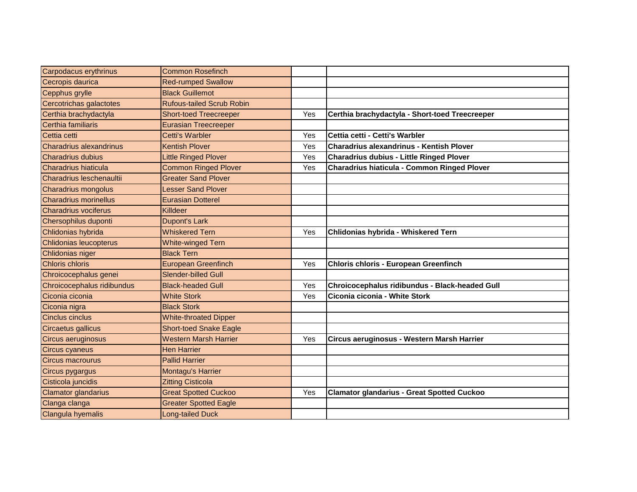| Carpodacus erythrinus          | <b>Common Rosefinch</b>          |     |                                                    |
|--------------------------------|----------------------------------|-----|----------------------------------------------------|
| Cecropis daurica               | <b>Red-rumped Swallow</b>        |     |                                                    |
| Cepphus grylle                 | <b>Black Guillemot</b>           |     |                                                    |
| Cercotrichas galactotes        | <b>Rufous-tailed Scrub Robin</b> |     |                                                    |
| Certhia brachydactyla          | <b>Short-toed Treecreeper</b>    | Yes | Certhia brachydactyla - Short-toed Treecreeper     |
| Certhia familiaris             | <b>Eurasian Treecreeper</b>      |     |                                                    |
| Cettia cetti                   | <b>Cetti's Warbler</b>           | Yes | Cettia cetti - Cetti's Warbler                     |
| <b>Charadrius alexandrinus</b> | <b>Kentish Plover</b>            | Yes | <b>Charadrius alexandrinus - Kentish Plover</b>    |
| <b>Charadrius dubius</b>       | Little Ringed Plover             | Yes | <b>Charadrius dubius - Little Ringed Plover</b>    |
| Charadrius hiaticula           | <b>Common Ringed Plover</b>      | Yes | <b>Charadrius hiaticula - Common Ringed Plover</b> |
| Charadrius leschenaultii       | <b>Greater Sand Plover</b>       |     |                                                    |
| <b>Charadrius mongolus</b>     | Lesser Sand Plover               |     |                                                    |
| <b>Charadrius morinellus</b>   | <b>Eurasian Dotterel</b>         |     |                                                    |
| Charadrius vociferus           | Killdeer                         |     |                                                    |
| Chersophilus duponti           | <b>Dupont's Lark</b>             |     |                                                    |
| Chlidonias hybrida             | <b>Whiskered Tern</b>            | Yes | Chlidonias hybrida - Whiskered Tern                |
| Chlidonias leucopterus         | <b>White-winged Tern</b>         |     |                                                    |
| Chlidonias niger               | <b>Black Tern</b>                |     |                                                    |
| <b>Chloris chloris</b>         | <b>European Greenfinch</b>       | Yes | <b>Chloris chloris - European Greenfinch</b>       |
| Chroicocephalus genei          | <b>Slender-billed Gull</b>       |     |                                                    |
| Chroicocephalus ridibundus     | <b>Black-headed Gull</b>         | Yes | Chroicocephalus ridibundus - Black-headed Gull     |
| Ciconia ciconia                | <b>White Stork</b>               | Yes | Ciconia ciconia - White Stork                      |
| Ciconia nigra                  | <b>Black Stork</b>               |     |                                                    |
| <b>Cinclus cinclus</b>         | <b>White-throated Dipper</b>     |     |                                                    |
| Circaetus gallicus             | <b>Short-toed Snake Eagle</b>    |     |                                                    |
| Circus aeruginosus             | <b>Western Marsh Harrier</b>     | Yes | Circus aeruginosus - Western Marsh Harrier         |
| <b>Circus cyaneus</b>          | <b>Hen Harrier</b>               |     |                                                    |
| Circus macrourus               | <b>Pallid Harrier</b>            |     |                                                    |
| Circus pygargus                | Montagu's Harrier                |     |                                                    |
| Cisticola juncidis             | <b>Zitting Cisticola</b>         |     |                                                    |
| Clamator glandarius            | <b>Great Spotted Cuckoo</b>      | Yes | <b>Clamator glandarius - Great Spotted Cuckoo</b>  |
| Clanga clanga                  | <b>Greater Spotted Eagle</b>     |     |                                                    |
| Clangula hyemalis              | <b>Long-tailed Duck</b>          |     |                                                    |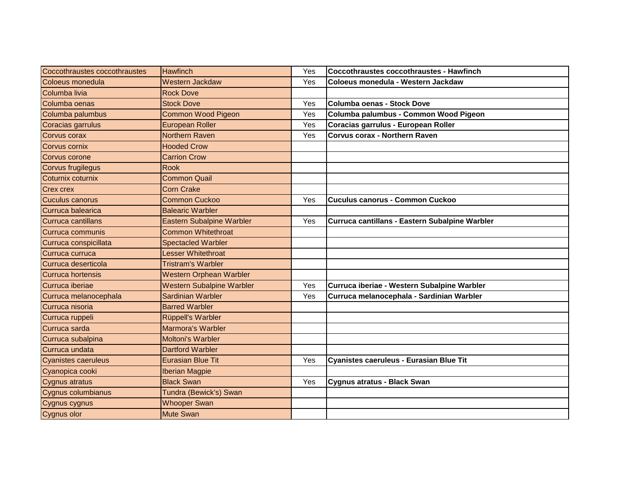| Coccothraustes coccothraustes | <b>Hawfinch</b>                  | Yes | Coccothraustes coccothraustes - Hawfinch       |
|-------------------------------|----------------------------------|-----|------------------------------------------------|
| Coloeus monedula              | <b>Western Jackdaw</b>           | Yes | Coloeus monedula - Western Jackdaw             |
| Columba livia                 | <b>Rock Dove</b>                 |     |                                                |
| Columba oenas                 | <b>Stock Dove</b>                | Yes | <b>Columba oenas - Stock Dove</b>              |
| Columba palumbus              | <b>Common Wood Pigeon</b>        | Yes | Columba palumbus - Common Wood Pigeon          |
| Coracias garrulus             | <b>European Roller</b>           | Yes | Coracias garrulus - European Roller            |
| <b>Corvus corax</b>           | <b>Northern Raven</b>            | Yes | <b>Corvus corax - Northern Raven</b>           |
| Corvus cornix                 | <b>Hooded Crow</b>               |     |                                                |
| Corvus corone                 | <b>Carrion Crow</b>              |     |                                                |
| <b>Corvus frugilegus</b>      | <b>Rook</b>                      |     |                                                |
| Coturnix coturnix             | <b>Common Quail</b>              |     |                                                |
| <b>Crex crex</b>              | <b>Corn Crake</b>                |     |                                                |
| Cuculus canorus               | <b>Common Cuckoo</b>             | Yes | <b>Cuculus canorus - Common Cuckoo</b>         |
| Curruca balearica             | <b>Balearic Warbler</b>          |     |                                                |
| Curruca cantillans            | <b>Eastern Subalpine Warbler</b> | Yes | Curruca cantillans - Eastern Subalpine Warbler |
| Curruca communis              | <b>Common Whitethroat</b>        |     |                                                |
| Curruca conspicillata         | <b>Spectacled Warbler</b>        |     |                                                |
| Curruca curruca               | <b>Lesser Whitethroat</b>        |     |                                                |
| Curruca deserticola           | <b>Tristram's Warbler</b>        |     |                                                |
| Curruca hortensis             | <b>Western Orphean Warbler</b>   |     |                                                |
| Curruca iberiae               | <b>Western Subalpine Warbler</b> | Yes | Curruca iberiae - Western Subalpine Warbler    |
| Curruca melanocephala         | Sardinian Warbler                | Yes | Curruca melanocephala - Sardinian Warbler      |
| Curruca nisoria               | <b>Barred Warbler</b>            |     |                                                |
| Curruca ruppeli               | Rüppell's Warbler                |     |                                                |
| Curruca sarda                 | Marmora's Warbler                |     |                                                |
| Curruca subalpina             | <b>Moltoni's Warbler</b>         |     |                                                |
| Curruca undata                | <b>Dartford Warbler</b>          |     |                                                |
| <b>Cyanistes caeruleus</b>    | <b>Eurasian Blue Tit</b>         | Yes | Cyanistes caeruleus - Eurasian Blue Tit        |
| Cyanopica cooki               | <b>Iberian Magpie</b>            |     |                                                |
| Cygnus atratus                | <b>Black Swan</b>                | Yes | Cygnus atratus - Black Swan                    |
| Cygnus columbianus            | Tundra (Bewick's) Swan           |     |                                                |
| Cygnus cygnus                 | <b>Whooper Swan</b>              |     |                                                |
| Cygnus olor                   | <b>Mute Swan</b>                 |     |                                                |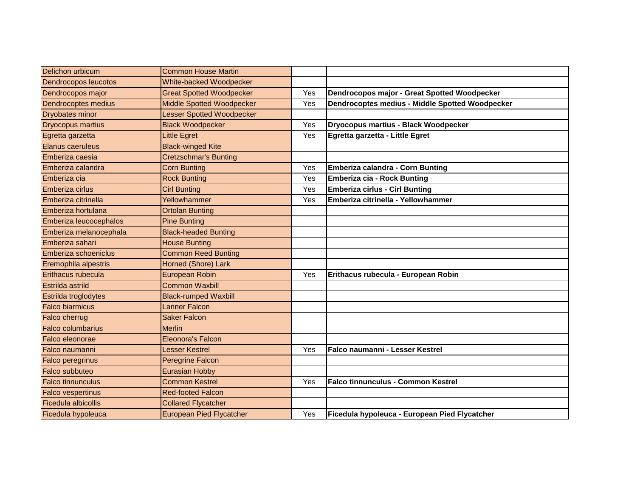| Delichon urbicum         | <b>Common House Martin</b>       |     |                                                 |
|--------------------------|----------------------------------|-----|-------------------------------------------------|
| Dendrocopos leucotos     | White-backed Woodpecker          |     |                                                 |
| Dendrocopos major        | <b>Great Spotted Woodpecker</b>  | Yes | Dendrocopos major - Great Spotted Woodpecker    |
| Dendrocoptes medius      | <b>Middle Spotted Woodpecker</b> | Yes | Dendrocoptes medius - Middle Spotted Woodpecker |
| <b>Dryobates minor</b>   | <b>Lesser Spotted Woodpecker</b> |     |                                                 |
| Dryocopus martius        | <b>Black Woodpecker</b>          | Yes | Dryocopus martius - Black Woodpecker            |
| Egretta garzetta         | <b>Little Egret</b>              | Yes | Egretta garzetta - Little Egret                 |
| <b>Elanus caeruleus</b>  | <b>Black-winged Kite</b>         |     |                                                 |
| Emberiza caesia          | <b>Cretzschmar's Bunting</b>     |     |                                                 |
| Emberiza calandra        | <b>Corn Bunting</b>              | Yes | Emberiza calandra - Corn Bunting                |
| Emberiza cia             | <b>Rock Bunting</b>              | Yes | <b>Emberiza cia - Rock Bunting</b>              |
| <b>Emberiza cirlus</b>   | <b>Cirl Bunting</b>              | Yes | <b>Emberiza cirlus - Cirl Bunting</b>           |
| Emberiza citrinella      | Yellowhammer                     | Yes | Emberiza citrinella - Yellowhammer              |
| Emberiza hortulana       | Ortolan Bunting                  |     |                                                 |
| Emberiza leucocephalos   | <b>Pine Bunting</b>              |     |                                                 |
| Emberiza melanocephala   | <b>Black-headed Bunting</b>      |     |                                                 |
| Emberiza sahari          | <b>House Bunting</b>             |     |                                                 |
| Emberiza schoeniclus     | <b>Common Reed Bunting</b>       |     |                                                 |
| Eremophila alpestris     | Horned (Shore) Lark              |     |                                                 |
| Erithacus rubecula       | <b>European Robin</b>            | Yes | Erithacus rubecula - European Robin             |
| Estrilda astrild         | <b>Common Waxbill</b>            |     |                                                 |
| Estrilda troglodytes     | <b>Black-rumped Waxbill</b>      |     |                                                 |
| <b>Falco biarmicus</b>   | <b>Lanner Falcon</b>             |     |                                                 |
| Falco cherrug            | <b>Saker Falcon</b>              |     |                                                 |
| Falco columbarius        | <b>Merlin</b>                    |     |                                                 |
| Falco eleonorae          | <b>Eleonora's Falcon</b>         |     |                                                 |
| Falco naumanni           | Lesser Kestrel                   | Yes | Falco naumanni - Lesser Kestrel                 |
| <b>Falco peregrinus</b>  | Peregrine Falcon                 |     |                                                 |
| <b>Falco subbuteo</b>    | <b>Eurasian Hobby</b>            |     |                                                 |
| <b>Falco tinnunculus</b> | <b>Common Kestrel</b>            | Yes | <b>Falco tinnunculus - Common Kestrel</b>       |
| <b>Falco vespertinus</b> | <b>Red-footed Falcon</b>         |     |                                                 |
| Ficedula albicollis      | <b>Collared Flycatcher</b>       |     |                                                 |
| Ficedula hypoleuca       | <b>European Pied Flycatcher</b>  | Yes | Ficedula hypoleuca - European Pied Flycatcher   |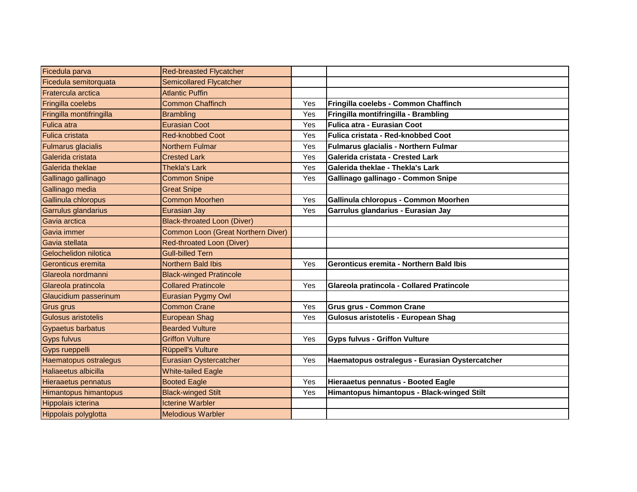| Ficedula parva            | <b>Red-breasted Flycatcher</b>     |     |                                                |
|---------------------------|------------------------------------|-----|------------------------------------------------|
| Ficedula semitorquata     | <b>Semicollared Flycatcher</b>     |     |                                                |
| Fratercula arctica        | <b>Atlantic Puffin</b>             |     |                                                |
| Fringilla coelebs         | <b>Common Chaffinch</b>            | Yes | Fringilla coelebs - Common Chaffinch           |
| Fringilla montifringilla  | <b>Brambling</b>                   | Yes | Fringilla montifringilla - Brambling           |
| <b>Fulica</b> atra        | <b>Eurasian Coot</b>               | Yes | Fulica atra - Eurasian Coot                    |
| <b>Fulica cristata</b>    | <b>Red-knobbed Coot</b>            | Yes | Fulica cristata - Red-knobbed Coot             |
| <b>Fulmarus glacialis</b> | <b>Northern Fulmar</b>             | Yes | <b>Fulmarus glacialis - Northern Fulmar</b>    |
| Galerida cristata         | <b>Crested Lark</b>                | Yes | Galerida cristata - Crested Lark               |
| Galerida theklae          | <b>Thekla's Lark</b>               | Yes | Galerida theklae - Thekla's Lark               |
| Gallinago gallinago       | <b>Common Snipe</b>                | Yes | Gallinago gallinago - Common Snipe             |
| Gallinago media           | <b>Great Snipe</b>                 |     |                                                |
| Gallinula chloropus       | <b>Common Moorhen</b>              | Yes | Gallinula chloropus - Common Moorhen           |
| Garrulus glandarius       | <b>Eurasian Jay</b>                | Yes | Garrulus glandarius - Eurasian Jay             |
| Gavia arctica             | <b>Black-throated Loon (Diver)</b> |     |                                                |
| Gavia immer               | Common Loon (Great Northern Diver) |     |                                                |
| Gavia stellata            | <b>Red-throated Loon (Diver)</b>   |     |                                                |
| Gelochelidon nilotica     | <b>Gull-billed Tern</b>            |     |                                                |
| Geronticus eremita        | <b>Northern Bald Ibis</b>          | Yes | Geronticus eremita - Northern Bald Ibis        |
| Glareola nordmanni        | <b>Black-winged Pratincole</b>     |     |                                                |
| Glareola pratincola       | <b>Collared Pratincole</b>         | Yes | Glareola pratincola - Collared Pratincole      |
| Glaucidium passerinum     | <b>Eurasian Pygmy Owl</b>          |     |                                                |
| Grus grus                 | <b>Common Crane</b>                | Yes | <b>Grus grus - Common Crane</b>                |
| Gulosus aristotelis       | <b>European Shag</b>               | Yes | Gulosus aristotelis - European Shag            |
| Gypaetus barbatus         | <b>Bearded Vulture</b>             |     |                                                |
| <b>Gyps fulvus</b>        | <b>Griffon Vulture</b>             | Yes | <b>Gyps fulvus - Griffon Vulture</b>           |
| Gyps rueppelli            | Rüppell's Vulture                  |     |                                                |
| Haematopus ostralegus     | <b>Eurasian Oystercatcher</b>      | Yes | Haematopus ostralegus - Eurasian Oystercatcher |
| Haliaeetus albicilla      | <b>White-tailed Eagle</b>          |     |                                                |
| Hieraaetus pennatus       | <b>Booted Eagle</b>                | Yes | Hieraaetus pennatus - Booted Eagle             |
| Himantopus himantopus     | <b>Black-winged Stilt</b>          | Yes | Himantopus himantopus - Black-winged Stilt     |
| Hippolais icterina        | <b>Icterine Warbler</b>            |     |                                                |
| Hippolais polyglotta      | <b>Melodious Warbler</b>           |     |                                                |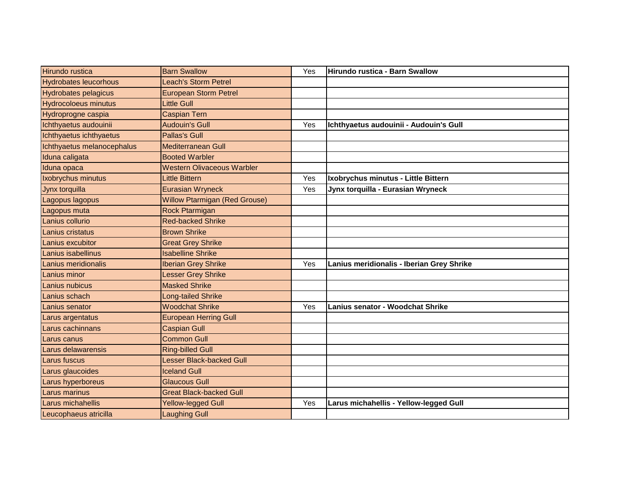| <b>Hirundo rustica</b>       | <b>Barn Swallow</b>                  | Yes | Hirundo rustica - Barn Swallow            |
|------------------------------|--------------------------------------|-----|-------------------------------------------|
| <b>Hydrobates leucorhous</b> | Leach's Storm Petrel                 |     |                                           |
| <b>Hydrobates pelagicus</b>  | <b>European Storm Petrel</b>         |     |                                           |
| <b>Hydrocoloeus minutus</b>  | Little Gull                          |     |                                           |
| Hydroprogne caspia           | <b>Caspian Tern</b>                  |     |                                           |
| Ichthyaetus audouinii        | <b>Audouin's Gull</b>                | Yes | Ichthyaetus audouinii - Audouin's Gull    |
| Ichthyaetus ichthyaetus      | <b>Pallas's Gull</b>                 |     |                                           |
| Ichthyaetus melanocephalus   | <b>Mediterranean Gull</b>            |     |                                           |
| Iduna caligata               | <b>Booted Warbler</b>                |     |                                           |
| Iduna opaca                  | <b>Western Olivaceous Warbler</b>    |     |                                           |
| Ixobrychus minutus           | Little Bittern                       | Yes | Ixobrychus minutus - Little Bittern       |
| Jynx torquilla               | <b>Eurasian Wryneck</b>              | Yes | Jynx torquilla - Eurasian Wryneck         |
| Lagopus lagopus              | <b>Willow Ptarmigan (Red Grouse)</b> |     |                                           |
| Lagopus muta                 | Rock Ptarmigan                       |     |                                           |
| Lanius collurio              | <b>Red-backed Shrike</b>             |     |                                           |
| Lanius cristatus             | <b>Brown Shrike</b>                  |     |                                           |
| Lanius excubitor             | <b>Great Grey Shrike</b>             |     |                                           |
| Lanius isabellinus           | <b>Isabelline Shrike</b>             |     |                                           |
| Lanius meridionalis          | <b>Iberian Grey Shrike</b>           | Yes | Lanius meridionalis - Iberian Grey Shrike |
| Lanius minor                 | Lesser Grey Shrike                   |     |                                           |
| Lanius nubicus               | <b>Masked Shrike</b>                 |     |                                           |
| Lanius schach                | Long-tailed Shrike                   |     |                                           |
| Lanius senator               | <b>Woodchat Shrike</b>               | Yes | Lanius senator - Woodchat Shrike          |
| Larus argentatus             | <b>European Herring Gull</b>         |     |                                           |
| Larus cachinnans             | <b>Caspian Gull</b>                  |     |                                           |
| Larus canus                  | <b>Common Gull</b>                   |     |                                           |
| Larus delawarensis           | <b>Ring-billed Gull</b>              |     |                                           |
| Larus fuscus                 | Lesser Black-backed Gull             |     |                                           |
| Larus glaucoides             | <b>Iceland Gull</b>                  |     |                                           |
| Larus hyperboreus            | <b>Glaucous Gull</b>                 |     |                                           |
| Larus marinus                | <b>Great Black-backed Gull</b>       |     |                                           |
| Larus michahellis            | Yellow-legged Gull                   | Yes | Larus michahellis - Yellow-legged Gull    |
| Leucophaeus atricilla        | <b>Laughing Gull</b>                 |     |                                           |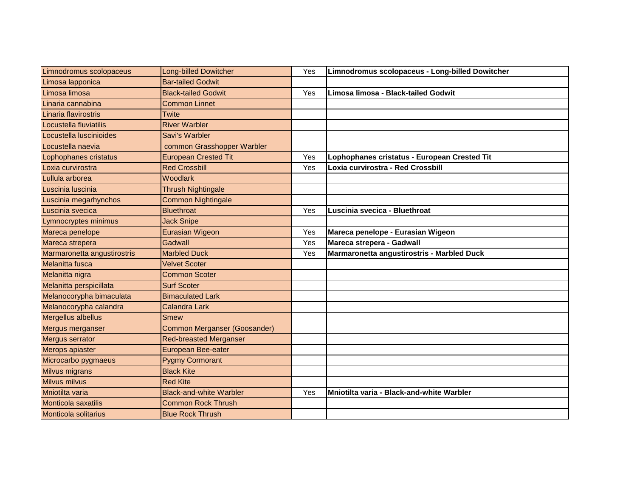| Limnodromus scolopaceus     | <b>Long-billed Dowitcher</b>        | Yes | Limnodromus scolopaceus - Long-billed Dowitcher |
|-----------------------------|-------------------------------------|-----|-------------------------------------------------|
| Limosa lapponica            | <b>Bar-tailed Godwit</b>            |     |                                                 |
| Limosa limosa               | <b>Black-tailed Godwit</b>          | Yes | Limosa limosa - Black-tailed Godwit             |
| Linaria cannabina           | <b>Common Linnet</b>                |     |                                                 |
| Linaria flavirostris        | Twite                               |     |                                                 |
| Locustella fluviatilis      | <b>River Warbler</b>                |     |                                                 |
| Locustella luscinioides     | Savi's Warbler                      |     |                                                 |
| Locustella naevia           | common Grasshopper Warbler          |     |                                                 |
| Lophophanes cristatus       | <b>European Crested Tit</b>         | Yes | Lophophanes cristatus - European Crested Tit    |
| Loxia curvirostra           | <b>Red Crossbill</b>                | Yes | Loxia curvirostra - Red Crossbill               |
| Lullula arborea             | Woodlark                            |     |                                                 |
| Luscinia luscinia           | <b>Thrush Nightingale</b>           |     |                                                 |
| Luscinia megarhynchos       | <b>Common Nightingale</b>           |     |                                                 |
| Luscinia svecica            | <b>Bluethroat</b>                   | Yes | Luscinia svecica - Bluethroat                   |
| Lymnocryptes minimus        | <b>Jack Snipe</b>                   |     |                                                 |
| Mareca penelope             | <b>Eurasian Wigeon</b>              | Yes | Mareca penelope - Eurasian Wigeon               |
| Mareca strepera             | Gadwall                             | Yes | Mareca strepera - Gadwall                       |
| Marmaronetta angustirostris | <b>Marbled Duck</b>                 | Yes | Marmaronetta angustirostris - Marbled Duck      |
| Melanitta fusca             | <b>Velvet Scoter</b>                |     |                                                 |
| Melanitta nigra             | <b>Common Scoter</b>                |     |                                                 |
| Melanitta perspicillata     | <b>Surf Scoter</b>                  |     |                                                 |
| Melanocorypha bimaculata    | <b>Bimaculated Lark</b>             |     |                                                 |
| Melanocorypha calandra      | <b>Calandra Lark</b>                |     |                                                 |
| Mergellus albellus          | <b>Smew</b>                         |     |                                                 |
| Mergus merganser            | <b>Common Merganser (Goosander)</b> |     |                                                 |
| Mergus serrator             | <b>Red-breasted Merganser</b>       |     |                                                 |
| Merops apiaster             | <b>European Bee-eater</b>           |     |                                                 |
| Microcarbo pygmaeus         | <b>Pygmy Cormorant</b>              |     |                                                 |
| Milvus migrans              | <b>Black Kite</b>                   |     |                                                 |
| <b>Milvus milvus</b>        | <b>Red Kite</b>                     |     |                                                 |
| Mniotilta varia             | <b>Black-and-white Warbler</b>      | Yes | Mniotilta varia - Black-and-white Warbler       |
| Monticola saxatilis         | <b>Common Rock Thrush</b>           |     |                                                 |
| <b>Monticola solitarius</b> | <b>Blue Rock Thrush</b>             |     |                                                 |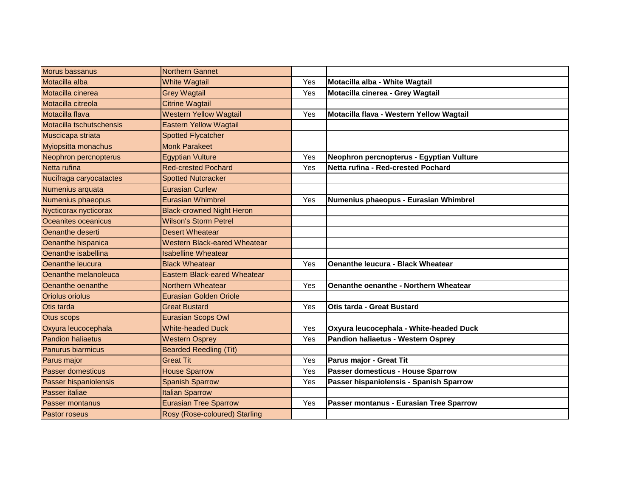| Morus bassanus           | <b>Northern Gannet</b>              |     |                                              |
|--------------------------|-------------------------------------|-----|----------------------------------------------|
| Motacilla alba           | <b>White Wagtail</b>                | Yes | Motacilla alba - White Wagtail               |
| Motacilla cinerea        | <b>Grey Wagtail</b>                 | Yes | Motacilla cinerea - Grey Wagtail             |
| Motacilla citreola       | <b>Citrine Wagtail</b>              |     |                                              |
| Motacilla flava          | <b>Western Yellow Wagtail</b>       | Yes | Motacilla flava - Western Yellow Wagtail     |
| Motacilla tschutschensis | <b>Eastern Yellow Wagtail</b>       |     |                                              |
| Muscicapa striata        | <b>Spotted Flycatcher</b>           |     |                                              |
| Myiopsitta monachus      | <b>Monk Parakeet</b>                |     |                                              |
| Neophron percnopterus    | <b>Egyptian Vulture</b>             | Yes | Neophron percnopterus - Egyptian Vulture     |
| Netta rufina             | <b>Red-crested Pochard</b>          | Yes | Netta rufina - Red-crested Pochard           |
| Nucifraga caryocatactes  | <b>Spotted Nutcracker</b>           |     |                                              |
| Numenius arquata         | <b>Eurasian Curlew</b>              |     |                                              |
| Numenius phaeopus        | <b>Eurasian Whimbrel</b>            | Yes | Numenius phaeopus - Eurasian Whimbrel        |
| Nycticorax nycticorax    | <b>Black-crowned Night Heron</b>    |     |                                              |
| Oceanites oceanicus      | <b>Wilson's Storm Petrel</b>        |     |                                              |
| Oenanthe deserti         | <b>Desert Wheatear</b>              |     |                                              |
| Oenanthe hispanica       | <b>Western Black-eared Wheatear</b> |     |                                              |
| Oenanthe isabellina      | <b>Isabelline Wheatear</b>          |     |                                              |
| Oenanthe leucura         | <b>Black Wheatear</b>               | Yes | <b>Oenanthe leucura - Black Wheatear</b>     |
| Oenanthe melanoleuca     | <b>Eastern Black-eared Wheatear</b> |     |                                              |
| Oenanthe oenanthe        | Northern Wheatear                   | Yes | <b>Oenanthe oenanthe - Northern Wheatear</b> |
| <b>Oriolus oriolus</b>   | <b>Eurasian Golden Oriole</b>       |     |                                              |
| Otis tarda               | <b>Great Bustard</b>                | Yes | Otis tarda - Great Bustard                   |
| Otus scops               | <b>Eurasian Scops Owl</b>           |     |                                              |
| Oxyura leucocephala      | <b>White-headed Duck</b>            | Yes | Oxyura leucocephala - White-headed Duck      |
| <b>Pandion haliaetus</b> | <b>Western Osprey</b>               | Yes | Pandion haliaetus - Western Osprey           |
| Panurus biarmicus        | <b>Bearded Reedling (Tit)</b>       |     |                                              |
| Parus major              | <b>Great Tit</b>                    | Yes | Parus major - Great Tit                      |
| <b>Passer domesticus</b> | <b>House Sparrow</b>                | Yes | Passer domesticus - House Sparrow            |
| Passer hispaniolensis    | <b>Spanish Sparrow</b>              | Yes | Passer hispaniolensis - Spanish Sparrow      |
| Passer italiae           | <b>Italian Sparrow</b>              |     |                                              |
| Passer montanus          | <b>Eurasian Tree Sparrow</b>        | Yes | Passer montanus - Eurasian Tree Sparrow      |
| <b>Pastor roseus</b>     | Rosy (Rose-coloured) Starling       |     |                                              |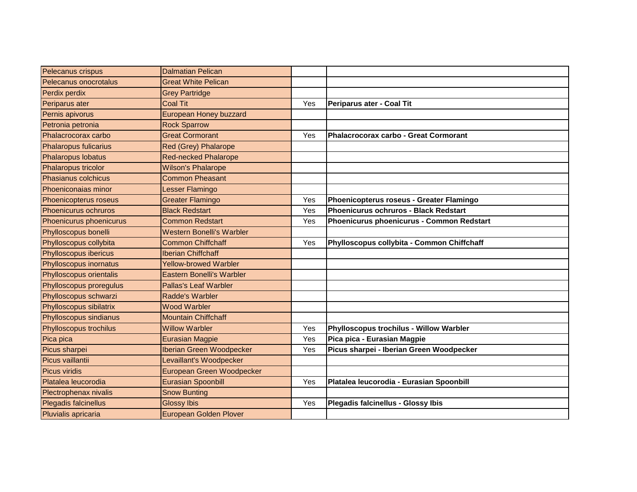| Pelecanus crispus            | <b>Dalmatian Pelican</b>         |     |                                            |
|------------------------------|----------------------------------|-----|--------------------------------------------|
| Pelecanus onocrotalus        | <b>Great White Pelican</b>       |     |                                            |
| Perdix perdix                | <b>Grey Partridge</b>            |     |                                            |
| Periparus ater               | <b>Coal Tit</b>                  | Yes | Periparus ater - Coal Tit                  |
| Pernis apivorus              | <b>European Honey buzzard</b>    |     |                                            |
| Petronia petronia            | <b>Rock Sparrow</b>              |     |                                            |
| Phalacrocorax carbo          | <b>Great Cormorant</b>           | Yes | Phalacrocorax carbo - Great Cormorant      |
| <b>Phalaropus fulicarius</b> | <b>Red (Grey) Phalarope</b>      |     |                                            |
| Phalaropus lobatus           | <b>Red-necked Phalarope</b>      |     |                                            |
| Phalaropus tricolor          | <b>Wilson's Phalarope</b>        |     |                                            |
| Phasianus colchicus          | <b>Common Pheasant</b>           |     |                                            |
| Phoeniconaias minor          | Lesser Flamingo                  |     |                                            |
| Phoenicopterus roseus        | <b>Greater Flamingo</b>          | Yes | Phoenicopterus roseus - Greater Flamingo   |
| Phoenicurus ochruros         | <b>Black Redstart</b>            | Yes | Phoenicurus ochruros - Black Redstart      |
| Phoenicurus phoenicurus      | <b>Common Redstart</b>           | Yes | Phoenicurus phoenicurus - Common Redstart  |
| Phylloscopus bonelli         | Western Bonelli's Warbler        |     |                                            |
| Phylloscopus collybita       | <b>Common Chiffchaff</b>         | Yes | Phylloscopus collybita - Common Chiffchaff |
| Phylloscopus ibericus        | <b>Iberian Chiffchaff</b>        |     |                                            |
| Phylloscopus inornatus       | <b>Yellow-browed Warbler</b>     |     |                                            |
| Phylloscopus orientalis      | <b>Eastern Bonelli's Warbler</b> |     |                                            |
| Phylloscopus proregulus      | <b>Pallas's Leaf Warbler</b>     |     |                                            |
| Phylloscopus schwarzi        | <b>Radde's Warbler</b>           |     |                                            |
| Phylloscopus sibilatrix      | <b>Wood Warbler</b>              |     |                                            |
| Phylloscopus sindianus       | <b>Mountain Chiffchaff</b>       |     |                                            |
| Phylloscopus trochilus       | <b>Willow Warbler</b>            | Yes | Phylloscopus trochilus - Willow Warbler    |
| Pica pica                    | <b>Eurasian Magpie</b>           | Yes | Pica pica - Eurasian Magpie                |
| Picus sharpei                | <b>Iberian Green Woodpecker</b>  | Yes | Picus sharpei - Iberian Green Woodpecker   |
| Picus vaillantii             | Levaillant's Woodpecker          |     |                                            |
| <b>Picus viridis</b>         | European Green Woodpecker        |     |                                            |
| Platalea leucorodia          | <b>Eurasian Spoonbill</b>        | Yes | Platalea leucorodia - Eurasian Spoonbill   |
| Plectrophenax nivalis        | <b>Snow Bunting</b>              |     |                                            |
| Plegadis falcinellus         | <b>Glossy Ibis</b>               | Yes | Plegadis falcinellus - Glossy Ibis         |
| Pluvialis apricaria          | European Golden Plover           |     |                                            |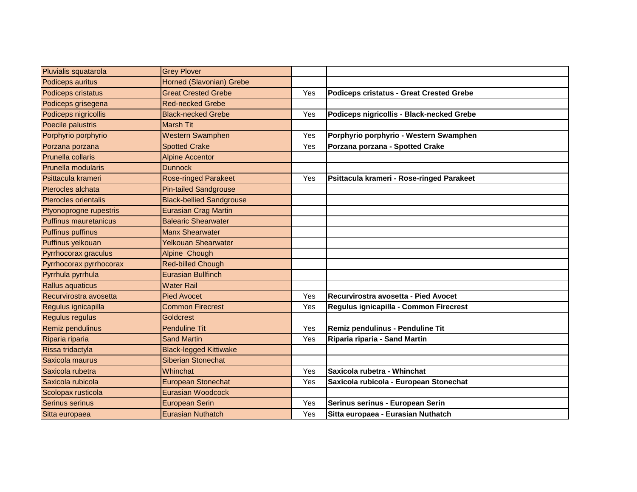| Pluvialis squatarola     | <b>Grey Plover</b>              |     |                                           |
|--------------------------|---------------------------------|-----|-------------------------------------------|
| Podiceps auritus         | Horned (Slavonian) Grebe        |     |                                           |
| Podiceps cristatus       | <b>Great Crested Grebe</b>      | Yes | Podiceps cristatus - Great Crested Grebe  |
| Podiceps grisegena       | <b>Red-necked Grebe</b>         |     |                                           |
| Podiceps nigricollis     | <b>Black-necked Grebe</b>       | Yes | Podiceps nigricollis - Black-necked Grebe |
| Poecile palustris        | <b>Marsh Tit</b>                |     |                                           |
| Porphyrio porphyrio      | <b>Western Swamphen</b>         | Yes | Porphyrio porphyrio - Western Swamphen    |
| Porzana porzana          | <b>Spotted Crake</b>            | Yes | Porzana porzana - Spotted Crake           |
| Prunella collaris        | <b>Alpine Accentor</b>          |     |                                           |
| Prunella modularis       | <b>Dunnock</b>                  |     |                                           |
| Psittacula krameri       | <b>Rose-ringed Parakeet</b>     | Yes | Psittacula krameri - Rose-ringed Parakeet |
| Pterocles alchata        | <b>Pin-tailed Sandgrouse</b>    |     |                                           |
| Pterocles orientalis     | <b>Black-bellied Sandgrouse</b> |     |                                           |
| Ptyonoprogne rupestris   | Eurasian Crag Martin            |     |                                           |
| Puffinus mauretanicus    | <b>Balearic Shearwater</b>      |     |                                           |
| <b>Puffinus puffinus</b> | <b>Manx Shearwater</b>          |     |                                           |
| Puffinus yelkouan        | <b>Yelkouan Shearwater</b>      |     |                                           |
| Pyrrhocorax graculus     | Alpine Chough                   |     |                                           |
| Pyrrhocorax pyrrhocorax  | <b>Red-billed Chough</b>        |     |                                           |
| Pyrrhula pyrrhula        | Eurasian Bullfinch              |     |                                           |
| Rallus aquaticus         | <b>Water Rail</b>               |     |                                           |
| Recurvirostra avosetta   | <b>Pied Avocet</b>              | Yes | Recurvirostra avosetta - Pied Avocet      |
| Regulus ignicapilla      | <b>Common Firecrest</b>         | Yes | Regulus ignicapilla - Common Firecrest    |
| Regulus regulus          | <b>Goldcrest</b>                |     |                                           |
| Remiz pendulinus         | <b>Penduline Tit</b>            | Yes | Remiz pendulinus - Penduline Tit          |
| Riparia riparia          | <b>Sand Martin</b>              | Yes | Riparia riparia - Sand Martin             |
| Rissa tridactyla         | <b>Black-legged Kittiwake</b>   |     |                                           |
| Saxicola maurus          | <b>Siberian Stonechat</b>       |     |                                           |
| Saxicola rubetra         | Whinchat                        | Yes | Saxicola rubetra - Whinchat               |
| Saxicola rubicola        | <b>European Stonechat</b>       | Yes | Saxicola rubicola - European Stonechat    |
| Scolopax rusticola       | <b>Eurasian Woodcock</b>        |     |                                           |
| Serinus serinus          | <b>European Serin</b>           | Yes | Serinus serinus - European Serin          |
| Sitta europaea           | Eurasian Nuthatch               | Yes | Sitta europaea - Eurasian Nuthatch        |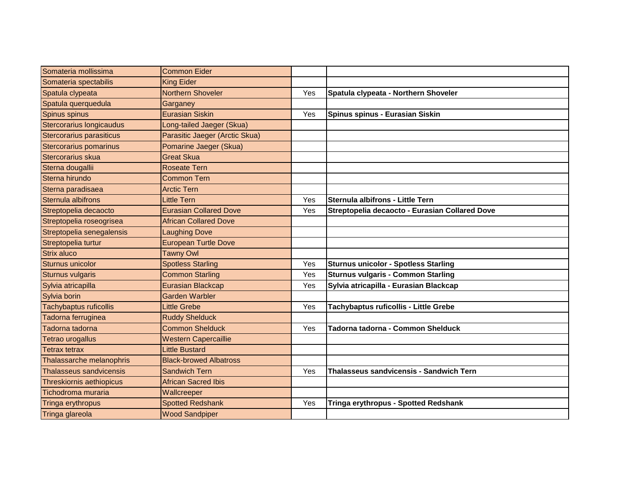| Somateria mollissima          | <b>Common Eider</b>            |     |                                                |
|-------------------------------|--------------------------------|-----|------------------------------------------------|
| Somateria spectabilis         | <b>King Eider</b>              |     |                                                |
| Spatula clypeata              | Northern Shoveler              | Yes | Spatula clypeata - Northern Shoveler           |
| Spatula querquedula           | Garganey                       |     |                                                |
| Spinus spinus                 | <b>Eurasian Siskin</b>         | Yes | Spinus spinus - Eurasian Siskin                |
| Stercorarius longicaudus      | Long-tailed Jaeger (Skua)      |     |                                                |
| Stercorarius parasiticus      | Parasitic Jaeger (Arctic Skua) |     |                                                |
| Stercorarius pomarinus        | Pomarine Jaeger (Skua)         |     |                                                |
| Stercorarius skua             | <b>Great Skua</b>              |     |                                                |
| Sterna dougallii              | <b>Roseate Tern</b>            |     |                                                |
| Sterna hirundo                | <b>Common Tern</b>             |     |                                                |
| Sterna paradisaea             | <b>Arctic Tern</b>             |     |                                                |
| Sternula albifrons            | Little Tern                    | Yes | Sternula albifrons - Little Tern               |
| Streptopelia decaocto         | <b>Eurasian Collared Dove</b>  | Yes | Streptopelia decaocto - Eurasian Collared Dove |
| Streptopelia roseogrisea      | <b>African Collared Dove</b>   |     |                                                |
| Streptopelia senegalensis     | <b>Laughing Dove</b>           |     |                                                |
| Streptopelia turtur           | <b>European Turtle Dove</b>    |     |                                                |
| Strix aluco                   | <b>Tawny Owl</b>               |     |                                                |
| Sturnus unicolor              | <b>Spotless Starling</b>       | Yes | <b>Sturnus unicolor - Spotless Starling</b>    |
| <b>Sturnus vulgaris</b>       | <b>Common Starling</b>         | Yes | <b>Sturnus vulgaris - Common Starling</b>      |
| Sylvia atricapilla            | <b>Eurasian Blackcap</b>       | Yes | Sylvia atricapilla - Eurasian Blackcap         |
| Sylvia borin                  | <b>Garden Warbler</b>          |     |                                                |
| <b>Tachybaptus ruficollis</b> | Little Grebe                   | Yes | Tachybaptus ruficollis - Little Grebe          |
| Tadorna ferruginea            | <b>Ruddy Shelduck</b>          |     |                                                |
| Tadorna tadorna               | <b>Common Shelduck</b>         | Yes | Tadorna tadorna - Common Shelduck              |
| <b>Tetrao urogallus</b>       | <b>Western Capercaillie</b>    |     |                                                |
| <b>Tetrax tetrax</b>          | Little Bustard                 |     |                                                |
| Thalassarche melanophris      | <b>Black-browed Albatross</b>  |     |                                                |
| Thalasseus sandvicensis       | <b>Sandwich Tern</b>           | Yes | Thalasseus sandvicensis - Sandwich Tern        |
| Threskiornis aethiopicus      | <b>African Sacred Ibis</b>     |     |                                                |
| Tichodroma muraria            | Wallcreeper                    |     |                                                |
| Tringa erythropus             | <b>Spotted Redshank</b>        | Yes | Tringa erythropus - Spotted Redshank           |
| Tringa glareola               | <b>Wood Sandpiper</b>          |     |                                                |